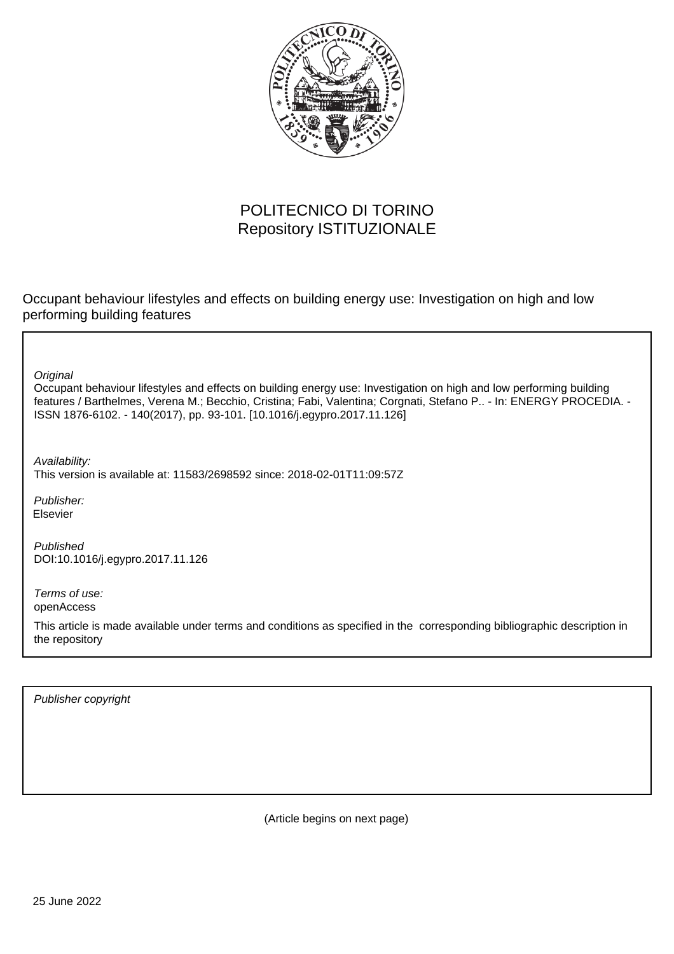

## POLITECNICO DI TORINO Repository ISTITUZIONALE

Occupant behaviour lifestyles and effects on building energy use: Investigation on high and low performing building features

**Original** 

Occupant behaviour lifestyles and effects on building energy use: Investigation on high and low performing building features / Barthelmes, Verena M.; Becchio, Cristina; Fabi, Valentina; Corgnati, Stefano P.. - In: ENERGY PROCEDIA. - ISSN 1876-6102. - 140(2017), pp. 93-101. [10.1016/j.egypro.2017.11.126]

Availability: This version is available at: 11583/2698592 since: 2018-02-01T11:09:57Z

Publisher: Elsevier

Published DOI:10.1016/j.egypro.2017.11.126

Terms of use: openAccess

This article is made available under terms and conditions as specified in the corresponding bibliographic description in the repository

Publisher copyright

(Article begins on next page)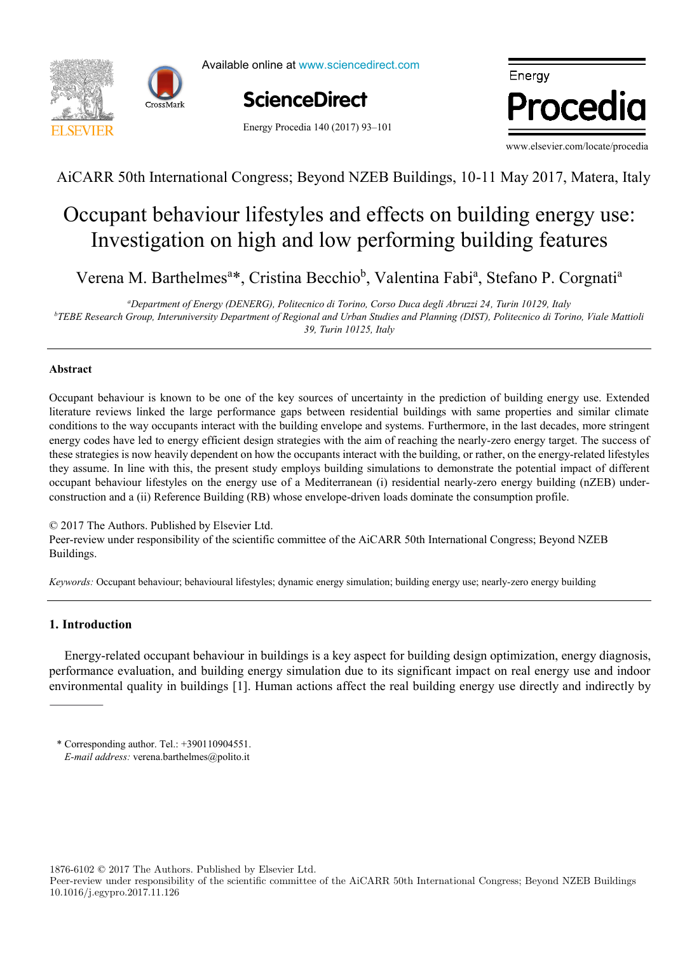



Available online at www.sciencedirect.com

**ScienceDirect** ScienceDirect

Energy Procedia 140 (2017) 93-101

Energy Procedia

www.elsevier.com/locate/procedia

AiCARR 50th International Congress; Beyond NZEB Buildings, 10-11 May 2017, Matera, Italy

# Investigation on high and low performing building features Occupant behaviour lifestyles and effects on building energy use:

Verena M. Barthelmes<sup>a\*</sup>, Cristina Becchio<sup>b</sup>, Valentina Fabi<sup>a</sup>, Stefano P. Corgnati<sup>a</sup>

temperature function for a long-term district heat demand forecast *a Department of Energy (DENERG), Politecnico di Torino, Corso Duca degli Abruzzi 24, Turin 10129, Italy*  $\mathcal{L}$ , A. Pinaa , P. Ferrão<sup>a</sup> , J. Fournier<sup>b</sup> *39, Turin 10125, Italy*  $\mathbf{B}$ .  $\mathbf{B}$ *b TEBE Research Group, Interuniversity Department of Regional and Urban Studies and Planning (DIST), Politecnico di Torino, Viale Mattioli* 

#### **Abstract**

energy codes have led to energy efficient design strategies with the aim of reaching the nearly-zero energy target. The success of they assume. In line with this, the present study employs building simulations to demonstrate the potential impact of different occupant behaviour lifestyles on the energy use of a Mediterranean (i) residential nearly-zero energy building (nZEB) underconstruction and a (ii) Reference Building (RB) whose envelope-driven loads dominate the consumption profile. prolonging the investment return period. Occupant behaviour is known to be one of the key sources of uncertainty in the prediction of building energy use. Extended literature reviews linked the large performance gaps between residential buildings with same properties and similar climate conditions to the way occupants interact with the building envelope and systems. Furthermore, in the last decades, more stringent these strategies is now heavily dependent on how the occupants interact with the building, or rather, on the energy-related lifestyles

© 2017 The Authors. Published by Elsevier Ltd. Peer-review under responsibility of the scientific committee of the AiCARR 50th International Congress; Beyond NZEB  $\mathbf{b}_{\text{unillations}}$ renovation scenarios were developed (shallow, intermediate, deep). To estimate the error, obtained heat demand values were Buildings.

Keywords: Occupant behaviour; behavioural lifestyles; dynamic energy simulation; building energy use; nearly-zero energy building The results showed that when only weather change is considered, the margin of error could be acceptable for some applications

### scenarios, the error value increased up to 59.5% (depending on the weather and renovation scenarios combination considered). **1. Introduction**

Energy-related occupant behaviour in buildings is a key aspect for building design optimization, energy diagnosis, performance evaluation, and building energy simulation due to its significant impact on real energy use and indoor critical scenarios), and values success summation due to its significant impact on real chergy use and muodienvironmental quality in buildings [1]. Human actions affect the real building energy use directly and indirectly by

1876-6102 © 2017 The Authors. Published by Elsevier Ltd.

Peer-review under responsibility of the Scientific Committee of The 15th International Symposium on District Heating and  $*$  Corresponding author. Tel.:  $+390110904551$ . *E-mail address:* verena.barthelmes@polito.it

Peer-review under responsibility of the scientific committee of the AiCARR 50th International Congress; Beyond NZEB Buildings 10.1016/j.egypro.2017.11.126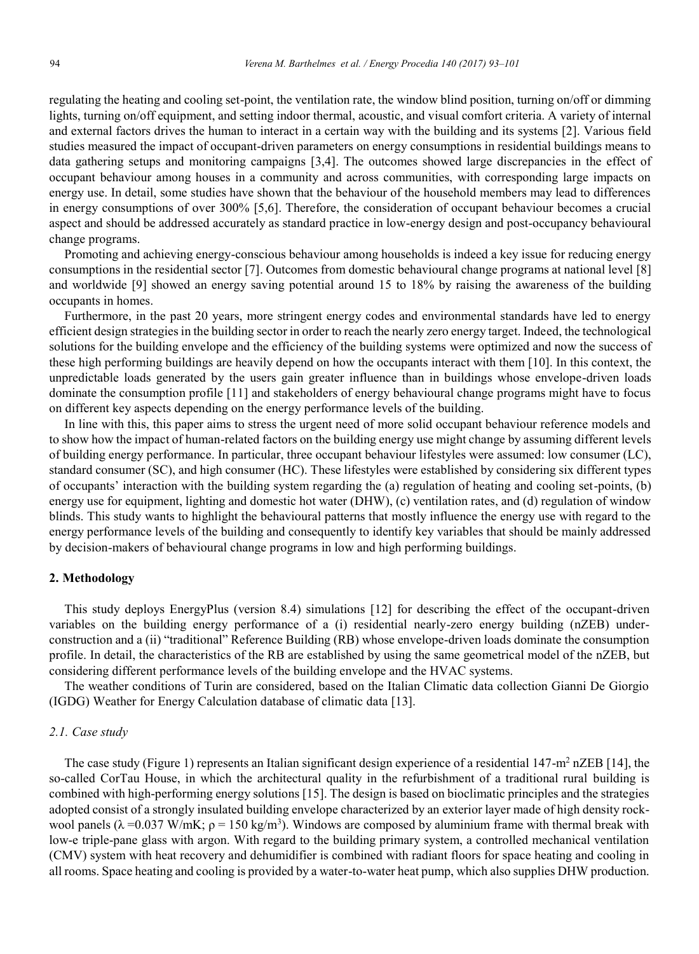regulating the heating and cooling set-point, the ventilation rate, the window blind position, turning on/off or dimming lights, turning on/off equipment, and setting indoor thermal, acoustic, and visual comfort criteria. A variety of internal and external factors drives the human to interact in a certain way with the building and its systems [2]. Various field studies measured the impact of occupant-driven parameters on energy consumptions in residential buildings means to data gathering setups and monitoring campaigns [3,4]. The outcomes showed large discrepancies in the effect of occupant behaviour among houses in a community and across communities, with corresponding large impacts on energy use. In detail, some studies have shown that the behaviour of the household members may lead to differences in energy consumptions of over 300% [5,6]. Therefore, the consideration of occupant behaviour becomes a crucial aspect and should be addressed accurately as standard practice in low-energy design and post-occupancy behavioural change programs.

Promoting and achieving energy-conscious behaviour among households is indeed a key issue for reducing energy consumptions in the residential sector [7]. Outcomes from domestic behavioural change programs at national level [8] and worldwide [9] showed an energy saving potential around 15 to 18% by raising the awareness of the building occupants in homes.

Furthermore, in the past 20 years, more stringent energy codes and environmental standards have led to energy efficient design strategies in the building sector in order to reach the nearly zero energy target. Indeed, the technological solutions for the building envelope and the efficiency of the building systems were optimized and now the success of these high performing buildings are heavily depend on how the occupants interact with them [10]. In this context, the unpredictable loads generated by the users gain greater influence than in buildings whose envelope-driven loads dominate the consumption profile [11] and stakeholders of energy behavioural change programs might have to focus on different key aspects depending on the energy performance levels of the building.

In line with this, this paper aims to stress the urgent need of more solid occupant behaviour reference models and to show how the impact of human-related factors on the building energy use might change by assuming different levels of building energy performance. In particular, three occupant behaviour lifestyles were assumed: low consumer (LC), standard consumer (SC), and high consumer (HC). These lifestyles were established by considering six different types of occupants' interaction with the building system regarding the (a) regulation of heating and cooling set-points, (b) energy use for equipment, lighting and domestic hot water (DHW), (c) ventilation rates, and (d) regulation of window blinds. This study wants to highlight the behavioural patterns that mostly influence the energy use with regard to the energy performance levels of the building and consequently to identify key variables that should be mainly addressed by decision-makers of behavioural change programs in low and high performing buildings.

#### **2. Methodology**

This study deploys EnergyPlus (version 8.4) simulations [12] for describing the effect of the occupant-driven variables on the building energy performance of a (i) residential nearly-zero energy building (nZEB) underconstruction and a (ii) "traditional" Reference Building (RB) whose envelope-driven loads dominate the consumption profile. In detail, the characteristics of the RB are established by using the same geometrical model of the nZEB, but considering different performance levels of the building envelope and the HVAC systems.

The weather conditions of Turin are considered, based on the Italian Climatic data collection Gianni De Giorgio (IGDG) Weather for Energy Calculation database of climatic data [13].

#### *2.1. Case study*

The case study (Figure 1) represents an Italian significant design experience of a residential 147-m<sup>2</sup> nZEB [14], the so-called CorTau House, in which the architectural quality in the refurbishment of a traditional rural building is combined with high-performing energy solutions [15]. The design is based on bioclimatic principles and the strategies adopted consist of a strongly insulated building envelope characterized by an exterior layer made of high density rockwool panels ( $\lambda$  =0.037 W/mK;  $\rho$  = 150 kg/m<sup>3</sup>). Windows are composed by aluminium frame with thermal break with low-e triple-pane glass with argon. With regard to the building primary system, a controlled mechanical ventilation (CMV) system with heat recovery and dehumidifier is combined with radiant floors for space heating and cooling in all rooms. Space heating and cooling is provided by a water-to-water heat pump, which also supplies DHW production.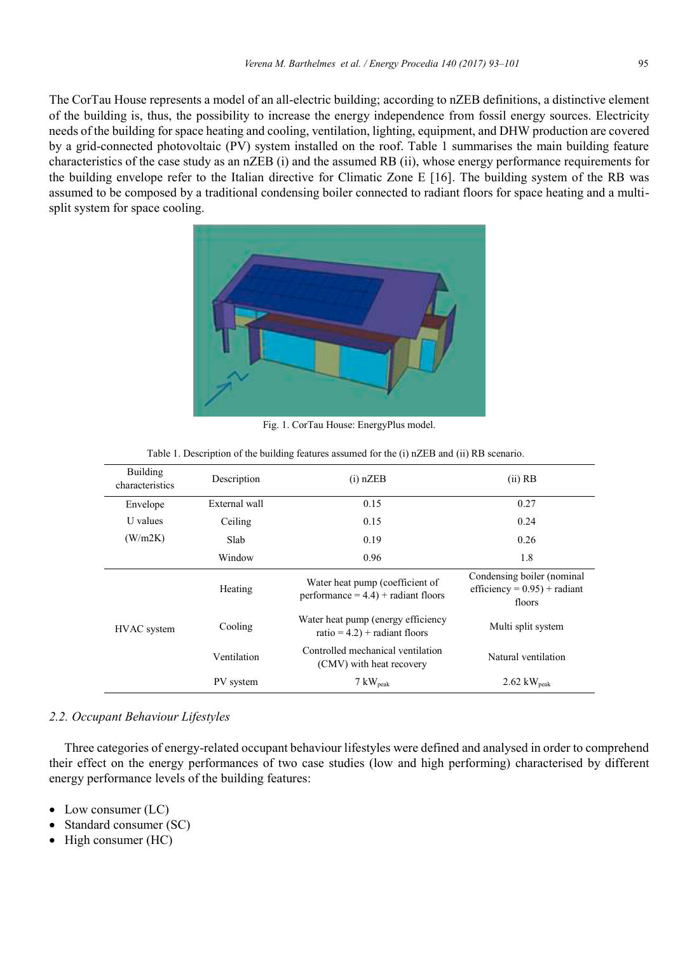The CorTau House represents a model of an all-electric building; according to nZEB definitions, a distinctive element of the building is, thus, the possibility to increase the energy independence from fossil energy sources. Electricity needs of the building for space heating and cooling, ventilation, lighting, equipment, and DHW production are covered by a grid-connected photovoltaic (PV) system installed on the roof. Table 1 summarises the main building feature characteristics of the case study as an nZEB (i) and the assumed RB (ii), whose energy performance requirements for the building envelope refer to the Italian directive for Climatic Zone E [16]. The building system of the RB was assumed to be composed by a traditional condensing boiler connected to radiant floors for space heating and a multisplit system for space cooling.



Fig. 1. CorTau House: EnergyPlus model.

| <b>Building</b><br>characteristics | Description   | $(i)$ n $ZEB$                                                             | $(ii)$ RB                                                               |  |
|------------------------------------|---------------|---------------------------------------------------------------------------|-------------------------------------------------------------------------|--|
| Envelope                           | External wall | 0.15                                                                      | 0.27                                                                    |  |
| U values                           | Ceiling       | 0.15                                                                      | 0.24                                                                    |  |
| (W/m2K)                            | Slab          | 0.19                                                                      | 0.26                                                                    |  |
|                                    | Window        | 0.96                                                                      | 1.8                                                                     |  |
| HVAC system                        | Heating       | Water heat pump (coefficient of<br>performance = $4.4$ ) + radiant floors | Condensing boiler (nominal<br>efficiency = $0.95$ ) + radiant<br>floors |  |
|                                    | Cooling       | Water heat pump (energy efficiency<br>ratio = $4.2$ ) + radiant floors    | Multi split system                                                      |  |
|                                    | Ventilation   | Controlled mechanical ventilation<br>(CMV) with heat recovery             | Natural ventilation                                                     |  |
|                                    | PV system     | $7 \text{ kW}_{\text{peak}}$                                              | $2.62 \text{ kW}_{peak}$                                                |  |

Table 1. Description of the building features assumed for the (i) nZEB and (ii) RB scenario.

#### *2.2. Occupant Behaviour Lifestyles*

Three categories of energy-related occupant behaviour lifestyles were defined and analysed in order to comprehend their effect on the energy performances of two case studies (low and high performing) characterised by different energy performance levels of the building features:

- Low consumer (LC)
- Standard consumer (SC)
- $\bullet$  High consumer (HC)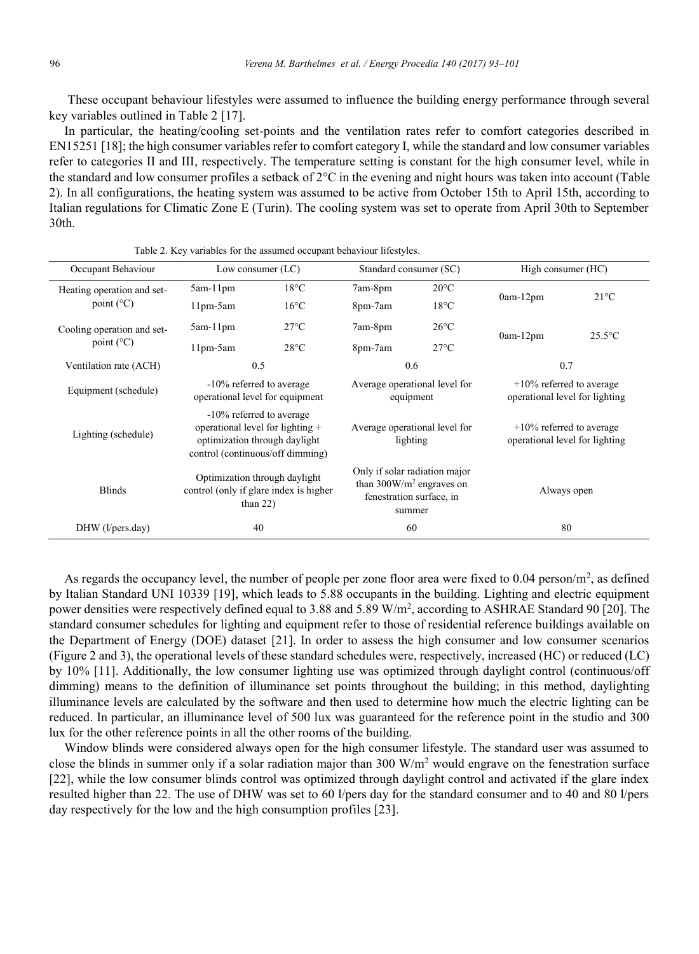These occupant behaviour lifestyles were assumed to influence the building energy performance through several key variables outlined in Table 2 [17].

In particular, the heating/cooling set-points and the ventilation rates refer to comfort categories described in EN15251 [18]; the high consumer variables refer to comfort category I, while the standard and low consumer variables refer to categories II and III, respectively. The temperature setting is constant for the high consumer level, while in the standard and low consumer profiles a setback of  $2^{\circ}C$  in the evening and night hours was taken into account (Table 2). In all configurations, the heating system was assumed to be active from October 15th to April 15th, according to Italian regulations for Climatic Zone E (Turin). The cooling system was set to operate from April 30th to September 30th.

| Occupant Behaviour                                | Low consumer $(LC)$                                                                                                               |                | Standard consumer (SC)                                                                             |                | High consumer (HC)                                            |               |
|---------------------------------------------------|-----------------------------------------------------------------------------------------------------------------------------------|----------------|----------------------------------------------------------------------------------------------------|----------------|---------------------------------------------------------------|---------------|
| Heating operation and set-<br>point $(^{\circ}C)$ | $5am-11pm$                                                                                                                        | $18^{\circ}$ C | 7am-8pm                                                                                            | $20^{\circ}$ C | $0$ am- $12$ pm                                               | $21^{\circ}C$ |
|                                                   | $11pm-5am$                                                                                                                        | $16^{\circ}$ C | 8pm-7am                                                                                            | $18^{\circ}$ C |                                                               |               |
| Cooling operation and set-<br>point $(^{\circ}C)$ | $5am-11pm$                                                                                                                        | $27^{\circ}$ C | 7am-8pm                                                                                            | $26^{\circ}$ C | $0$ am- $12$ pm                                               | $25.5$ °C     |
|                                                   | $11pm-5am$                                                                                                                        | $28^{\circ}$ C | 8pm-7am                                                                                            | $27^{\circ}$ C |                                                               |               |
| Ventilation rate (ACH)                            | 0.5                                                                                                                               |                | 0.6                                                                                                |                | 0.7                                                           |               |
| Equipment (schedule)                              | -10% referred to average<br>operational level for equipment                                                                       |                | Average operational level for<br>equipment                                                         |                | $+10\%$ referred to average<br>operational level for lighting |               |
| Lighting (schedule)                               | -10% referred to average<br>operational level for lighting +<br>optimization through daylight<br>control (continuous/off dimming) |                | Average operational level for<br>lighting                                                          |                | $+10\%$ referred to average<br>operational level for lighting |               |
| <b>Blinds</b>                                     | Optimization through daylight<br>control (only if glare index is higher<br>than $22$ )                                            |                | Only if solar radiation major<br>than $300W/m^2$ engraves on<br>fenestration surface, in<br>summer |                | Always open                                                   |               |
| DHW (l/pers.day)                                  | 40                                                                                                                                |                | 60                                                                                                 |                | 80                                                            |               |

Table 2. Key variables for the assumed occupant behaviour lifestyles.

As regards the occupancy level, the number of people per zone floor area were fixed to 0.04 person/m<sup>2</sup>, as defined by Italian Standard UNI 10339 [19], which leads to 5.88 occupants in the building. Lighting and electric equipment power densities were respectively defined equal to 3.88 and 5.89 W/m<sup>2</sup>, according to ASHRAE Standard 90 [20]. The standard consumer schedules for lighting and equipment refer to those of residential reference buildings available on the Department of Energy (DOE) dataset [21]. In order to assess the high consumer and low consumer scenarios (Figure 2 and 3), the operational levels of these standard schedules were, respectively, increased (HC) or reduced (LC) by 10% [11]. Additionally, the low consumer lighting use was optimized through daylight control (continuous/off dimming) means to the definition of illuminance set points throughout the building; in this method, daylighting illuminance levels are calculated by the software and then used to determine how much the electric lighting can be reduced. In particular, an illuminance level of 500 lux was guaranteed for the reference point in the studio and 300 lux for the other reference points in all the other rooms of the building.

Window blinds were considered always open for the high consumer lifestyle. The standard user was assumed to close the blinds in summer only if a solar radiation major than  $300 \text{ W/m}^2$  would engrave on the fenestration surface [22], while the low consumer blinds control was optimized through daylight control and activated if the glare index resulted higher than 22. The use of DHW was set to 60 l/pers day for the standard consumer and to 40 and 80 l/pers day respectively for the low and the high consumption profiles [23].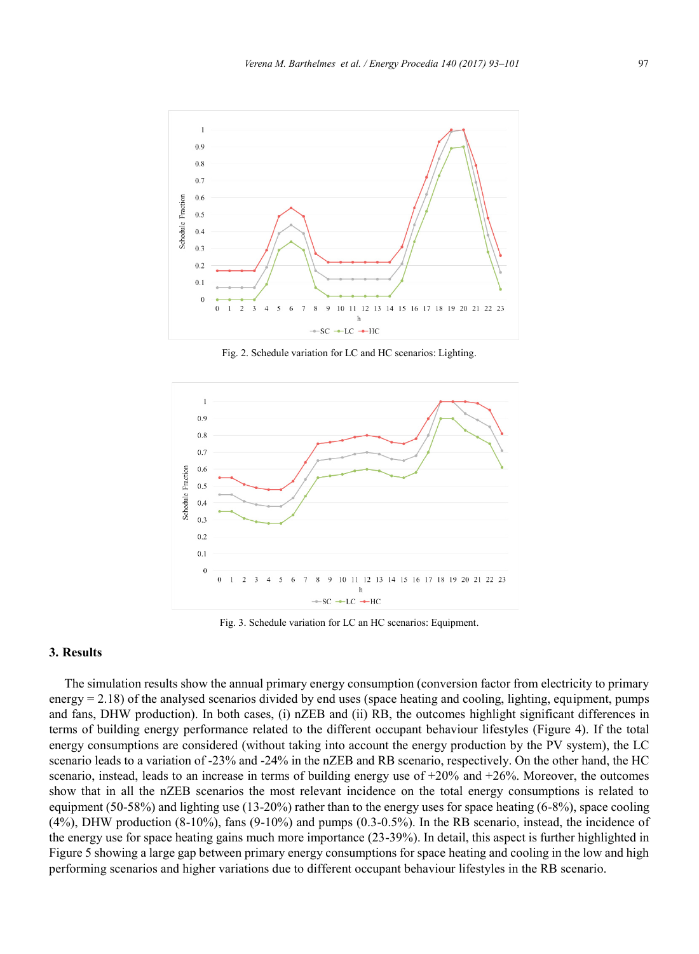

Fig. 2. Schedule variation for LC and HC scenarios: Lighting.



Fig. 3. Schedule variation for LC an HC scenarios: Equipment.

#### **3. Results**

The simulation results show the annual primary energy consumption (conversion factor from electricity to primary energy  $= 2.18$ ) of the analysed scenarios divided by end uses (space heating and cooling, lighting, equipment, pumps and fans, DHW production). In both cases, (i) nZEB and (ii) RB, the outcomes highlight significant differences in terms of building energy performance related to the different occupant behaviour lifestyles (Figure 4). If the total energy consumptions are considered (without taking into account the energy production by the PV system), the LC scenario leads to a variation of -23% and -24% in the nZEB and RB scenario, respectively. On the other hand, the HC scenario, instead, leads to an increase in terms of building energy use of  $+20\%$  and  $+26\%$ . Moreover, the outcomes show that in all the nZEB scenarios the most relevant incidence on the total energy consumptions is related to equipment (50-58%) and lighting use  $(13-20%)$  rather than to the energy uses for space heating (6-8%), space cooling (4%), DHW production (8-10%), fans (9-10%) and pumps (0.3-0.5%). In the RB scenario, instead, the incidence of the energy use for space heating gains much more importance (23-39%). In detail, this aspect is further highlighted in Figure 5 showing a large gap between primary energy consumptions for space heating and cooling in the low and high performing scenarios and higher variations due to different occupant behaviour lifestyles in the RB scenario.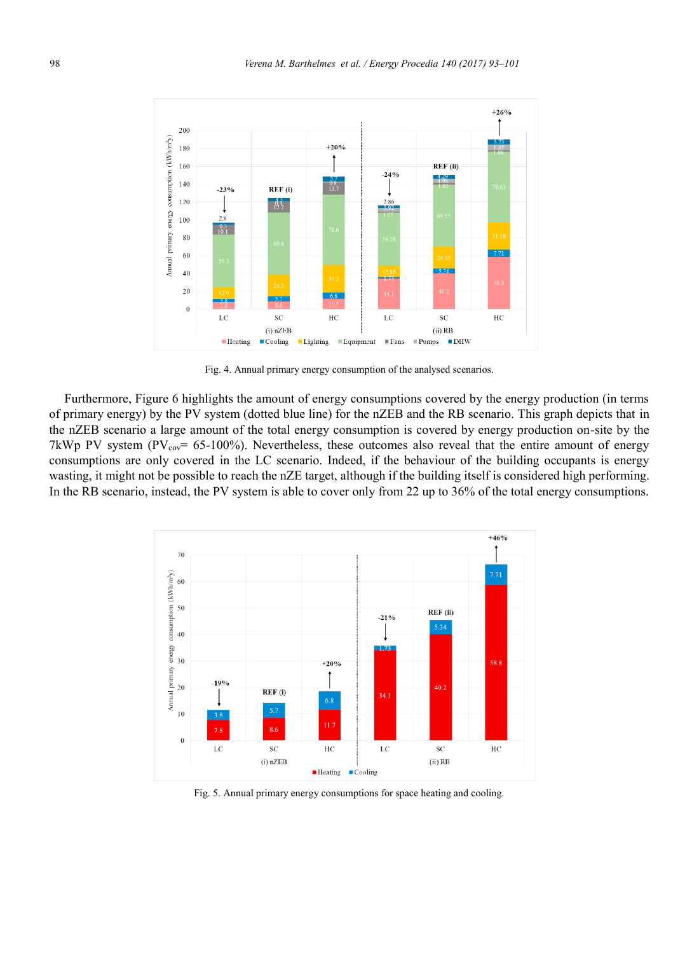

Fig. 4. Annual primary energy consumption of the analysed scenarios.

Furthermore, Figure 6 highlights the amount of energy consumptions covered by the energy production (in terms of primary energy) by the PV system (dotted blue line) for the nZEB and the RB scenario. This graph depicts that in the nZEB scenario a large amount of the total energy consumption is covered by energy production on-site by the 7kWp PV system ( $PV_{cov}$ = 65-100%). Nevertheless, these outcomes also reveal that the entire amount of energy consumptions are only covered in the LC scenario. Indeed, if the behaviour of the building occupants is energy wasting, it might not be possible to reach the nZE target, although if the building itself is considered high performing. In the RB scenario, instead, the PV system is able to cover only from 22 up to 36% of the total energy consumptions.



Fig. 5. Annual primary energy consumptions for space heating and cooling.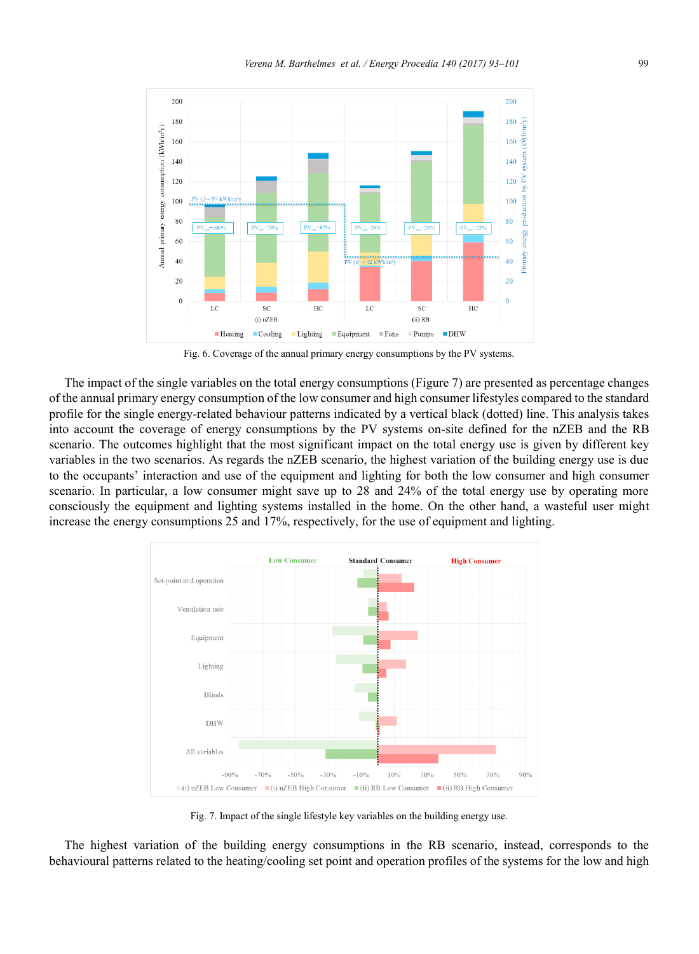

Fig. 6. Coverage of the annual primary energy consumptions by the PV systems.

The impact of the single variables on the total energy consumptions (Figure 7) are presented as percentage changes of the annual primary energy consumption of the low consumer and high consumer lifestyles compared to the standard profile for the single energy-related behaviour patterns indicated by a vertical black (dotted) line. This analysis takes into account the coverage of energy consumptions by the PV systems on-site defined for the nZEB and the RB scenario. The outcomes highlight that the most significant impact on the total energy use is given by different key variables in the two scenarios. As regards the nZEB scenario, the highest variation of the building energy use is due to the occupants' interaction and use of the equipment and lighting for both the low consumer and high consumer scenario. In particular, a low consumer might save up to 28 and 24% of the total energy use by operating more consciously the equipment and lighting systems installed in the home. On the other hand, a wasteful user might increase the energy consumptions 25 and 17%, respectively, for the use of equipment and lighting.



Fig. 7. Impact of the single lifestyle key variables on the building energy use.

The highest variation of the building energy consumptions in the RB scenario, instead, corresponds to the behavioural patterns related to the heating/cooling set point and operation profiles of the systems for the low and high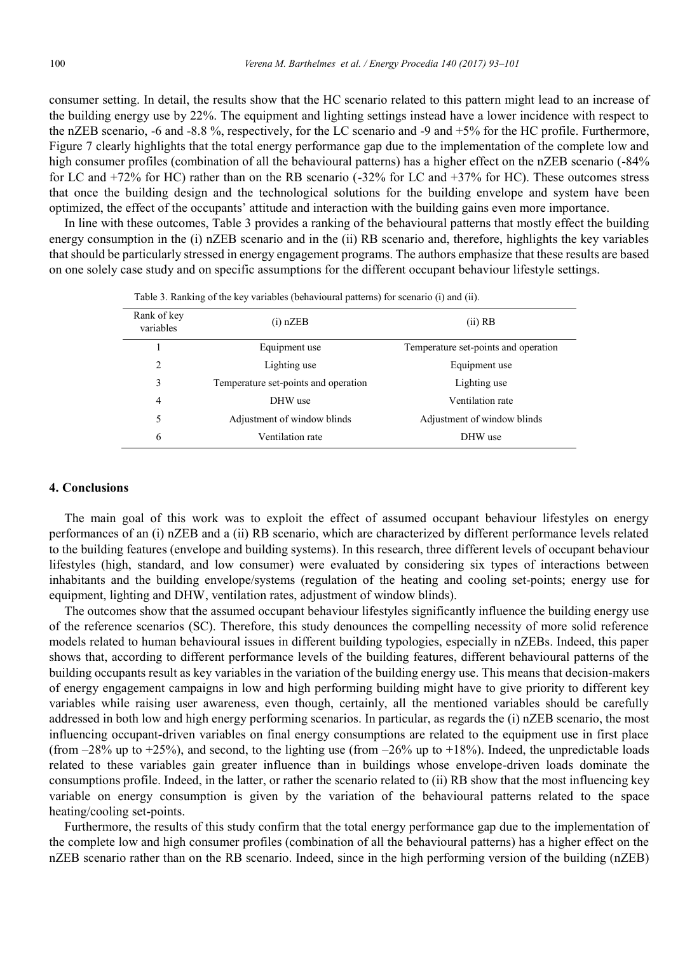consumer setting. In detail, the results show that the HC scenario related to this pattern might lead to an increase of the building energy use by 22%. The equipment and lighting settings instead have a lower incidence with respect to the nZEB scenario, -6 and -8.8 %, respectively, for the LC scenario and -9 and +5% for the HC profile. Furthermore, Figure 7 clearly highlights that the total energy performance gap due to the implementation of the complete low and high consumer profiles (combination of all the behavioural patterns) has a higher effect on the nZEB scenario (-84% for LC and +72% for HC) rather than on the RB scenario (-32% for LC and +37% for HC). These outcomes stress that once the building design and the technological solutions for the building envelope and system have been optimized, the effect of the occupants' attitude and interaction with the building gains even more importance.

In line with these outcomes, Table 3 provides a ranking of the behavioural patterns that mostly effect the building energy consumption in the (i) nZEB scenario and in the (ii) RB scenario and, therefore, highlights the key variables that should be particularly stressed in energy engagement programs. The authors emphasize that these results are based on one solely case study and on specific assumptions for the different occupant behaviour lifestyle settings.

| Rank of key<br>variables | $(i)$ n $ZEB$                        | $(ii)$ RB                            |  |  |
|--------------------------|--------------------------------------|--------------------------------------|--|--|
|                          | Equipment use                        | Temperature set-points and operation |  |  |
| 2                        | Lighting use                         | Equipment use                        |  |  |
| 3                        | Temperature set-points and operation | Lighting use                         |  |  |
| $\overline{4}$           | DHW use                              | Ventilation rate                     |  |  |
| 5                        | Adjustment of window blinds          | Adjustment of window blinds          |  |  |
| 6                        | Ventilation rate                     | DHW use                              |  |  |

Table 3. Ranking of the key variables (behavioural patterns) for scenario (i) and (ii).

#### **4. Conclusions**

The main goal of this work was to exploit the effect of assumed occupant behaviour lifestyles on energy performances of an (i) nZEB and a (ii) RB scenario, which are characterized by different performance levels related to the building features (envelope and building systems). In this research, three different levels of occupant behaviour lifestyles (high, standard, and low consumer) were evaluated by considering six types of interactions between inhabitants and the building envelope/systems (regulation of the heating and cooling set-points; energy use for equipment, lighting and DHW, ventilation rates, adjustment of window blinds).

The outcomes show that the assumed occupant behaviour lifestyles significantly influence the building energy use of the reference scenarios (SC). Therefore, this study denounces the compelling necessity of more solid reference models related to human behavioural issues in different building typologies, especially in nZEBs. Indeed, this paper shows that, according to different performance levels of the building features, different behavioural patterns of the building occupants result as key variables in the variation of the building energy use. This means that decision-makers of energy engagement campaigns in low and high performing building might have to give priority to different key variables while raising user awareness, even though, certainly, all the mentioned variables should be carefully addressed in both low and high energy performing scenarios. In particular, as regards the (i) nZEB scenario, the most influencing occupant-driven variables on final energy consumptions are related to the equipment use in first place (from  $-28\%$  up to  $+25\%$ ), and second, to the lighting use (from  $-26\%$  up to  $+18\%$ ). Indeed, the unpredictable loads related to these variables gain greater influence than in buildings whose envelope-driven loads dominate the consumptions profile. Indeed, in the latter, or rather the scenario related to (ii) RB show that the most influencing key variable on energy consumption is given by the variation of the behavioural patterns related to the space heating/cooling set-points.

Furthermore, the results of this study confirm that the total energy performance gap due to the implementation of the complete low and high consumer profiles (combination of all the behavioural patterns) has a higher effect on the nZEB scenario rather than on the RB scenario. Indeed, since in the high performing version of the building (nZEB)